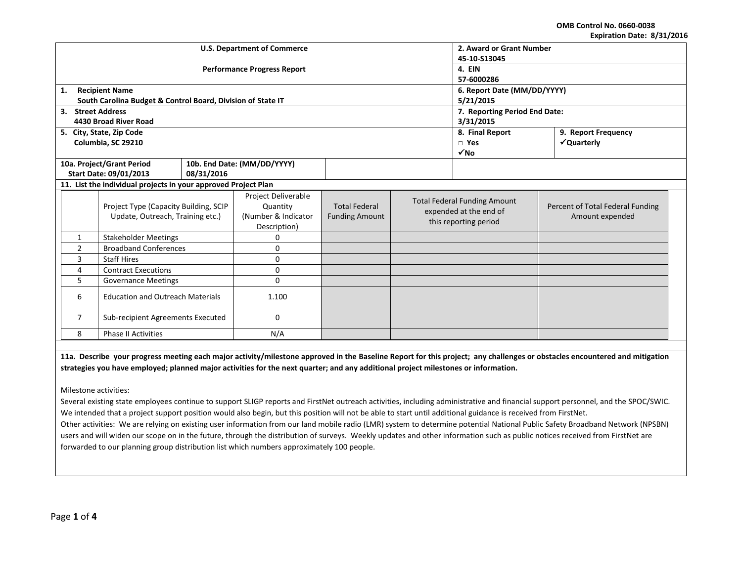**OMB Control No. 0660-0038 Expiration Date: 8/31/2016**

|                                                                | LAPITATION DATE, 01911 LUIT       |                                                                           |                                    |                                                                        |                                               |  |                                                                                        |                                                     |  |  |
|----------------------------------------------------------------|-----------------------------------|---------------------------------------------------------------------------|------------------------------------|------------------------------------------------------------------------|-----------------------------------------------|--|----------------------------------------------------------------------------------------|-----------------------------------------------------|--|--|
|                                                                |                                   |                                                                           | <b>U.S. Department of Commerce</b> | 2. Award or Grant Number                                               |                                               |  |                                                                                        |                                                     |  |  |
|                                                                |                                   |                                                                           |                                    | 45-10-S13045                                                           |                                               |  |                                                                                        |                                                     |  |  |
|                                                                |                                   |                                                                           | <b>Performance Progress Report</b> | 4. EIN                                                                 |                                               |  |                                                                                        |                                                     |  |  |
|                                                                |                                   |                                                                           |                                    | 57-6000286                                                             |                                               |  |                                                                                        |                                                     |  |  |
| 1.                                                             |                                   | <b>Recipient Name</b>                                                     |                                    | 6. Report Date (MM/DD/YYYY)                                            |                                               |  |                                                                                        |                                                     |  |  |
|                                                                |                                   | South Carolina Budget & Control Board, Division of State IT               |                                    | 5/21/2015                                                              |                                               |  |                                                                                        |                                                     |  |  |
|                                                                |                                   | 3. Street Address                                                         |                                    | 7. Reporting Period End Date:                                          |                                               |  |                                                                                        |                                                     |  |  |
|                                                                |                                   | 4430 Broad River Road                                                     |                                    |                                                                        |                                               |  | 3/31/2015                                                                              |                                                     |  |  |
|                                                                |                                   | 5. City, State, Zip Code                                                  |                                    |                                                                        | 8. Final Report                               |  |                                                                                        | 9. Report Frequency                                 |  |  |
|                                                                |                                   | Columbia, SC 29210                                                        |                                    |                                                                        |                                               |  | $\Box$ Yes                                                                             | √Quarterly                                          |  |  |
|                                                                |                                   |                                                                           |                                    |                                                                        |                                               |  | $\sqrt{NQ}$                                                                            |                                                     |  |  |
|                                                                |                                   | 10a. Project/Grant Period                                                 |                                    | 10b. End Date: (MM/DD/YYYY)                                            |                                               |  |                                                                                        |                                                     |  |  |
|                                                                |                                   | Start Date: 09/01/2013                                                    | 08/31/2016                         |                                                                        |                                               |  |                                                                                        |                                                     |  |  |
| 11. List the individual projects in your approved Project Plan |                                   |                                                                           |                                    |                                                                        |                                               |  |                                                                                        |                                                     |  |  |
|                                                                |                                   | Project Type (Capacity Building, SCIP<br>Update, Outreach, Training etc.) |                                    | Project Deliverable<br>Quantity<br>(Number & Indicator<br>Description) | <b>Total Federal</b><br><b>Funding Amount</b> |  | <b>Total Federal Funding Amount</b><br>expended at the end of<br>this reporting period | Percent of Total Federal Funding<br>Amount expended |  |  |
|                                                                | $\mathbf{1}$                      | <b>Stakeholder Meetings</b>                                               |                                    | 0                                                                      |                                               |  |                                                                                        |                                                     |  |  |
|                                                                | <b>Broadband Conferences</b><br>2 |                                                                           |                                    | 0                                                                      |                                               |  |                                                                                        |                                                     |  |  |
|                                                                | 3<br><b>Staff Hires</b>           |                                                                           |                                    | $\mathbf 0$                                                            |                                               |  |                                                                                        |                                                     |  |  |
|                                                                | <b>Contract Executions</b><br>4   |                                                                           |                                    | 0                                                                      |                                               |  |                                                                                        |                                                     |  |  |
| 5.<br><b>Governance Meetings</b>                               |                                   |                                                                           |                                    | $\Omega$                                                               |                                               |  |                                                                                        |                                                     |  |  |
| <b>Education and Outreach Materials</b><br>6                   |                                   |                                                                           |                                    | 1.100                                                                  |                                               |  |                                                                                        |                                                     |  |  |
| Sub-recipient Agreements Executed<br>7                         |                                   |                                                                           | $\mathbf 0$                        |                                                                        |                                               |  |                                                                                        |                                                     |  |  |
| 8<br><b>Phase II Activities</b><br>N/A                         |                                   |                                                                           |                                    |                                                                        |                                               |  |                                                                                        |                                                     |  |  |

**11a. Describe your progress meeting each major activity/milestone approved in the Baseline Report for this project; any challenges or obstacles encountered and mitigation strategies you have employed; planned major activities for the next quarter; and any additional project milestones or information.**

Milestone activities:

Several existing state employees continue to support SLIGP reports and FirstNet outreach activities, including administrative and financial support personnel, and the SPOC/SWIC. We intended that a project support position would also begin, but this position will not be able to start until additional guidance is received from FirstNet.

Other activities: We are relying on existing user information from our land mobile radio (LMR) system to determine potential National Public Safety Broadband Network (NPSBN) users and will widen our scope on in the future, through the distribution of surveys. Weekly updates and other information such as public notices received from FirstNet are forwarded to our planning group distribution list which numbers approximately 100 people.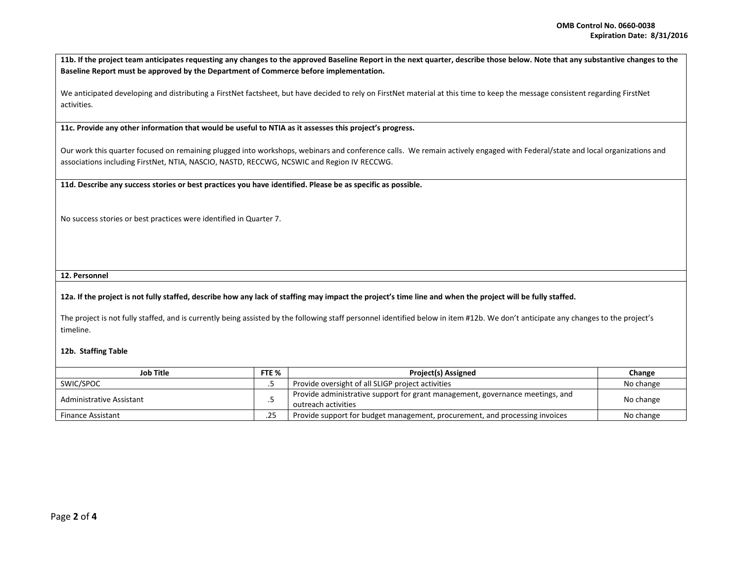**11b. If the project team anticipates requesting any changes to the approved Baseline Report in the next quarter, describe those below. Note that any substantive changes to the Baseline Report must be approved by the Department of Commerce before implementation.** 

We anticipated developing and distributing a FirstNet factsheet, but have decided to rely on FirstNet material at this time to keep the message consistent regarding FirstNet activities.

**11c. Provide any other information that would be useful to NTIA as it assesses this project's progress.** 

Our work this quarter focused on remaining plugged into workshops, webinars and conference calls. We remain actively engaged with Federal/state and local organizations and associations including FirstNet, NTIA, NASCIO, NASTD, RECCWG, NCSWIC and Region IV RECCWG.

**11d. Describe any success stories or best practices you have identified. Please be as specific as possible.**

No success stories or best practices were identified in Quarter 7.

**12. Personnel** 

## **12a. If the project is not fully staffed, describe how any lack of staffing may impact the project's time line and when the project will be fully staffed.**

The project is not fully staffed, and is currently being assisted by the following staff personnel identified below in item #12b. We don't anticipate any changes to the project's timeline.

## **12b. Staffing Table**

| <b>Job Title</b>         |  | <b>Project(s) Assigned</b>                                                                           | Change    |
|--------------------------|--|------------------------------------------------------------------------------------------------------|-----------|
| SWIC/SPOC                |  | Provide oversight of all SLIGP project activities                                                    | No change |
| Administrative Assistant |  | Provide administrative support for grant management, governance meetings, and<br>outreach activities | No change |
| <b>Finance Assistant</b> |  | Provide support for budget management, procurement, and processing invoices                          | No change |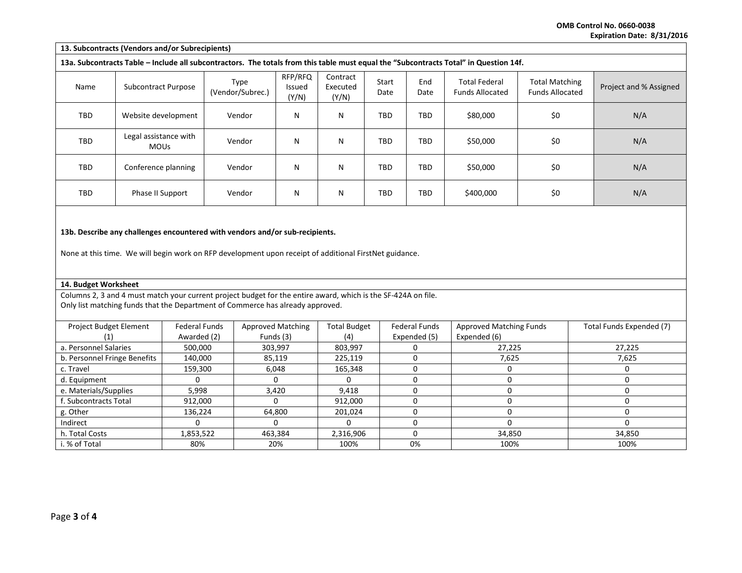**OMB Control No. 0660-0038 Expiration Date: 8/31/2016**

|                                                                                                                                                                                                 | 13. Subcontracts (Vendors and/or Subrecipients) |                      |                          |                            |                               |               |                      |                                                                                                                                       |                                                 |                          |
|-------------------------------------------------------------------------------------------------------------------------------------------------------------------------------------------------|-------------------------------------------------|----------------------|--------------------------|----------------------------|-------------------------------|---------------|----------------------|---------------------------------------------------------------------------------------------------------------------------------------|-------------------------------------------------|--------------------------|
|                                                                                                                                                                                                 |                                                 |                      |                          |                            |                               |               |                      | 13a. Subcontracts Table - Include all subcontractors. The totals from this table must equal the "Subcontracts Total" in Question 14f. |                                                 |                          |
| Name                                                                                                                                                                                            | <b>Subcontract Purpose</b>                      |                      | Type<br>(Vendor/Subrec.) | RFP/RFQ<br>Issued<br>(Y/N) | Contract<br>Executed<br>(Y/N) | Start<br>Date | End<br>Date          | <b>Total Federal</b><br><b>Funds Allocated</b>                                                                                        | <b>Total Matching</b><br><b>Funds Allocated</b> | Project and % Assigned   |
| TBD                                                                                                                                                                                             | Website development                             |                      | Vendor                   | N                          | N                             | <b>TBD</b>    | <b>TBD</b>           | \$80,000                                                                                                                              | \$0                                             | N/A                      |
| TBD                                                                                                                                                                                             | Legal assistance with<br><b>MOUs</b>            |                      | Vendor                   | N                          | N                             | TBD           | TBD                  | \$50,000                                                                                                                              | \$0                                             | N/A                      |
| TBD                                                                                                                                                                                             | Conference planning                             |                      | Vendor                   | N                          | N                             | TBD           | <b>TBD</b>           | \$50,000                                                                                                                              | \$0                                             | N/A                      |
| TBD                                                                                                                                                                                             | Phase II Support                                |                      | Vendor                   | N                          | N                             | TBD           | <b>TBD</b>           | \$400,000                                                                                                                             | \$0                                             | N/A                      |
| 13b. Describe any challenges encountered with vendors and/or sub-recipients.<br>None at this time. We will begin work on RFP development upon receipt of additional FirstNet guidance.          |                                                 |                      |                          |                            |                               |               |                      |                                                                                                                                       |                                                 |                          |
|                                                                                                                                                                                                 | 14. Budget Worksheet                            |                      |                          |                            |                               |               |                      |                                                                                                                                       |                                                 |                          |
| Columns 2, 3 and 4 must match your current project budget for the entire award, which is the SF-424A on file.<br>Only list matching funds that the Department of Commerce has already approved. |                                                 |                      |                          |                            |                               |               |                      |                                                                                                                                       |                                                 |                          |
| Project Budget Element                                                                                                                                                                          |                                                 | <b>Federal Funds</b> |                          | <b>Approved Matching</b>   | <b>Total Budget</b>           |               | <b>Federal Funds</b> | <b>Approved Matching Funds</b>                                                                                                        |                                                 | Total Funds Expended (7) |
| (1)                                                                                                                                                                                             |                                                 | Awarded (2)          |                          | Funds (3)                  | (4)                           |               | Expended (5)         | Expended (6)                                                                                                                          |                                                 |                          |
| a. Personnel Salaries                                                                                                                                                                           |                                                 | 500,000              |                          | 303,997                    | 803,997                       |               | 0                    | 27,225                                                                                                                                |                                                 | 27,225                   |
| b. Personnel Fringe Benefits                                                                                                                                                                    |                                                 | 140,000              |                          | 85,119                     | 225,119                       |               | $\mathbf 0$          | 7,625                                                                                                                                 |                                                 | 7,625                    |
| c. Travel                                                                                                                                                                                       |                                                 | 159,300              |                          | 6,048                      | 165,348                       |               | $\mathbf 0$          | $\mathbf 0$                                                                                                                           |                                                 | $\mathbf 0$              |

d. Equipment 0 0 0 0 0 0 e. Materials/Supplies | 5,998 | 3,420 | 9,418 | 0 | 0 0 | 0 0 | f. Subcontracts Total 912,000 0 912,000 0 0 0 g. Other | 136,224 | 64,800 | 201,024 | 0 | 0 Indirect 0 0 0 0 0 0 h. Total Costs | 1,853,522 | 463,384 | 2,316,906 | 34,850 | 34,850 i. % of Total 80% 20% 100% 0% 100% 100%